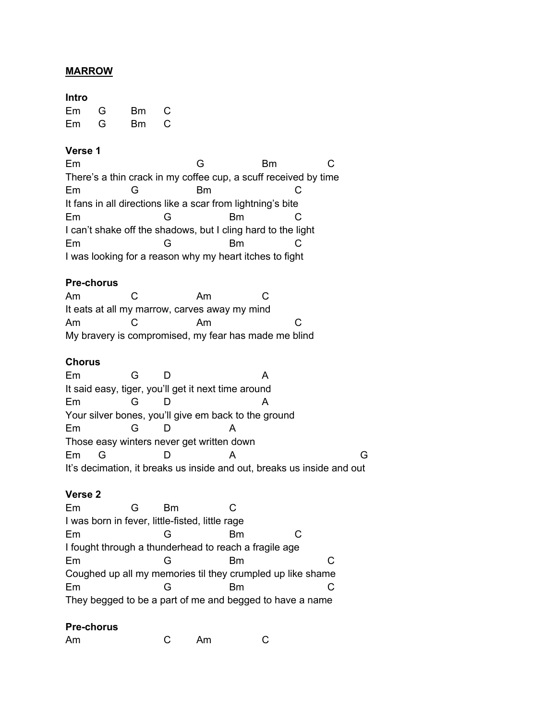# **MARROW**

# **Intro**

| Em | G | Bm | C |
|----|---|----|---|
| Em | G | Bm | С |

# **Verse 1**

| Em                                                              |  | G  |  |  |  |
|-----------------------------------------------------------------|--|----|--|--|--|
| There's a thin crack in my coffee cup, a scuff received by time |  |    |  |  |  |
| Em                                                              |  | Вm |  |  |  |
| It fans in all directions like a scar from lightning's bite     |  |    |  |  |  |
| Em                                                              |  | Вm |  |  |  |
| I can't shake off the shadows, but I cling hard to the light    |  |    |  |  |  |
| Em                                                              |  | Вm |  |  |  |
| I was looking for a reason why my heart itches to fight         |  |    |  |  |  |

#### **Pre-chorus**

| Am                                                   |  | Am                                            | C : |  |  |
|------------------------------------------------------|--|-----------------------------------------------|-----|--|--|
|                                                      |  | It eats at all my marrow, carves away my mind |     |  |  |
| Am                                                   |  | Am                                            | C   |  |  |
| My bravery is compromised, my fear has made me blind |  |                                               |     |  |  |

### **Chorus**

| Em                                                                     |                                                      |  |  |  |  |  |
|------------------------------------------------------------------------|------------------------------------------------------|--|--|--|--|--|
|                                                                        | It said easy, tiger, you'll get it next time around  |  |  |  |  |  |
| Em                                                                     |                                                      |  |  |  |  |  |
|                                                                        | Your silver bones, you'll give em back to the ground |  |  |  |  |  |
| Em                                                                     |                                                      |  |  |  |  |  |
| Those easy winters never get written down                              |                                                      |  |  |  |  |  |
| Em                                                                     |                                                      |  |  |  |  |  |
| It's decimation, it breaks us inside and out, breaks us inside and out |                                                      |  |  |  |  |  |

# **Verse 2**

| Em                                              | Вm |                                                            |    |
|-------------------------------------------------|----|------------------------------------------------------------|----|
| I was born in fever, little-fisted, little rage |    |                                                            |    |
| Em                                              |    | Вm                                                         |    |
|                                                 |    | I fought through a thunderhead to reach a fragile age      |    |
| Em                                              |    | Вm                                                         | C. |
|                                                 |    | Coughed up all my memories til they crumpled up like shame |    |
| Em                                              |    | Вm                                                         |    |
|                                                 |    | They begged to be a part of me and begged to have a name   |    |

# **Pre-chorus**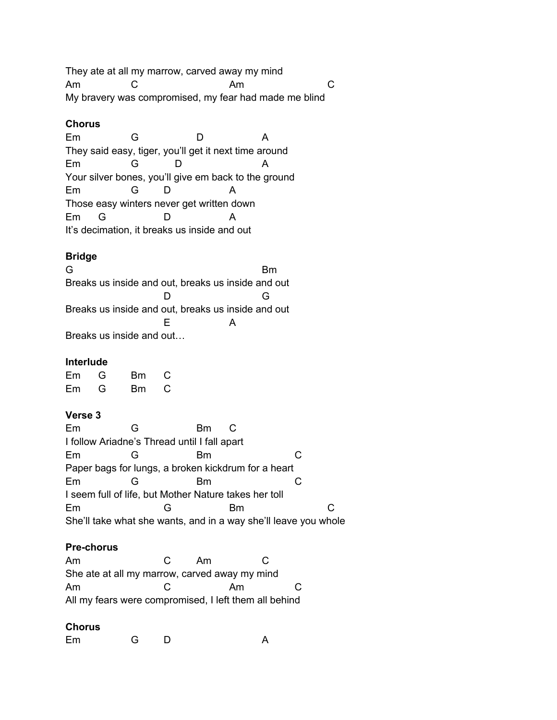They ate at all my marrow, carved away my mind Am C Am C My bravery was compromised, my fear had made me blind

#### **Chorus**

Em G D A They said easy, tiger, you'll get it next time around Em G D A Your silver bones, you'll give em back to the ground Em G D A Those easy winters never get written down Em G D A It's decimation, it breaks us inside and out

# **Bridge**

G Bm Breaks us inside and out, breaks us inside and out D G Breaks us inside and out, breaks us inside and out E A Breaks us inside and out…

# **Interlude**

| Em | G | Вm | С |
|----|---|----|---|
| Em | G | Вm | С |

# **Verse 3**

| Em | G                                                     | Вm |    |                                                                 |  |
|----|-------------------------------------------------------|----|----|-----------------------------------------------------------------|--|
|    | I follow Ariadne's Thread until I fall apart          |    |    |                                                                 |  |
| Em |                                                       | Вm |    |                                                                 |  |
|    | Paper bags for lungs, a broken kickdrum for a heart   |    |    |                                                                 |  |
| Em |                                                       | Вm |    |                                                                 |  |
|    | I seem full of life, but Mother Nature takes her toll |    |    |                                                                 |  |
| Em |                                                       |    | Вm |                                                                 |  |
|    |                                                       |    |    | She'll take what she wants, and in a way she'll leave you whole |  |

# **Pre-chorus**

| Am                                                    | C | Am |    |  |
|-------------------------------------------------------|---|----|----|--|
| She ate at all my marrow, carved away my mind         |   |    |    |  |
| Am                                                    | C |    | Am |  |
| All my fears were compromised, I left them all behind |   |    |    |  |

# **Chorus**

Em G D A